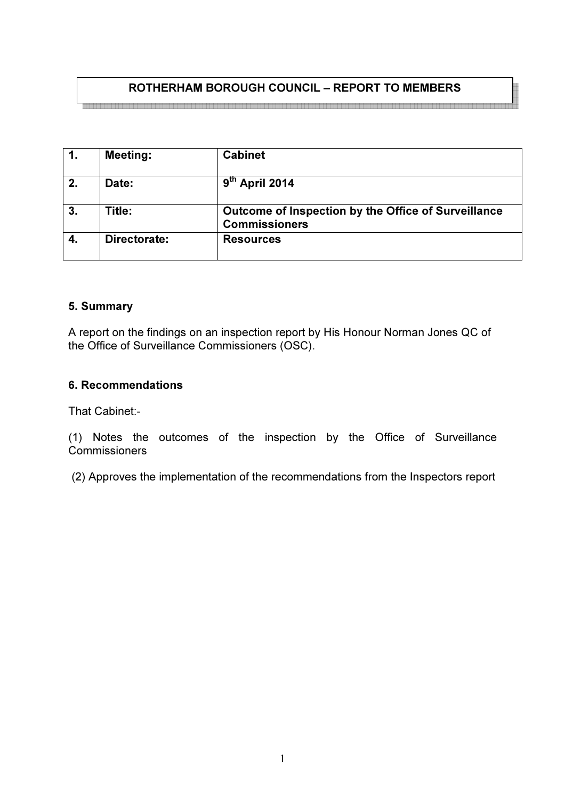# ROTHERHAM BOROUGH COUNCIL – REPORT TO MEMBERS

| $\mathbf{1}$ . | <b>Meeting:</b> | <b>Cabinet</b>                                                              |
|----------------|-----------------|-----------------------------------------------------------------------------|
| 2.             | Date:           | $9th$ April 2014                                                            |
| 3.             | Title:          | Outcome of Inspection by the Office of Surveillance<br><b>Commissioners</b> |
| 4.             | Directorate:    | <b>Resources</b>                                                            |

# 5. Summary

A report on the findings on an inspection report by His Honour Norman Jones QC of the Office of Surveillance Commissioners (OSC).

#### 6. Recommendations

That Cabinet:-

(1) Notes the outcomes of the inspection by the Office of Surveillance **Commissioners** 

(2) Approves the implementation of the recommendations from the Inspectors report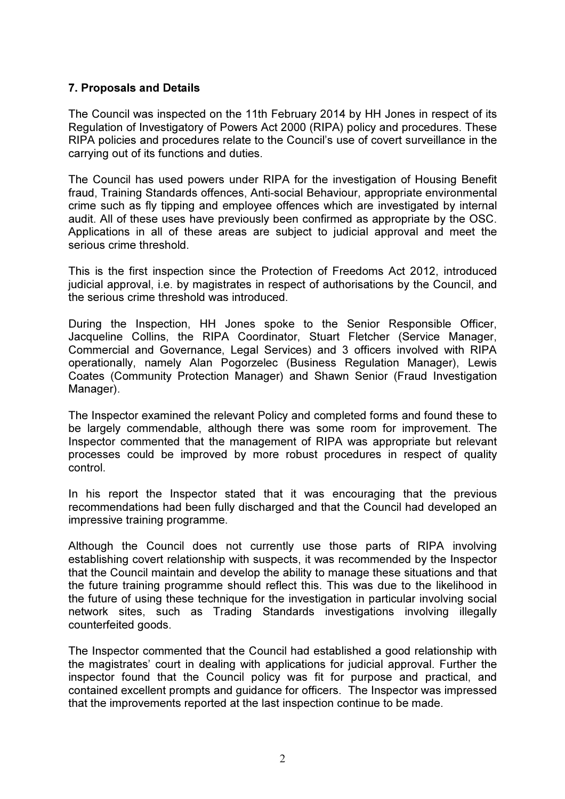# 7. Proposals and Details

The Council was inspected on the 11th February 2014 by HH Jones in respect of its Regulation of Investigatory of Powers Act 2000 (RIPA) policy and procedures. These RIPA policies and procedures relate to the Council's use of covert surveillance in the carrying out of its functions and duties.

The Council has used powers under RIPA for the investigation of Housing Benefit fraud, Training Standards offences, Anti-social Behaviour, appropriate environmental crime such as fly tipping and employee offences which are investigated by internal audit. All of these uses have previously been confirmed as appropriate by the OSC. Applications in all of these areas are subject to judicial approval and meet the serious crime threshold.

This is the first inspection since the Protection of Freedoms Act 2012, introduced judicial approval, i.e. by magistrates in respect of authorisations by the Council, and the serious crime threshold was introduced.

During the Inspection, HH Jones spoke to the Senior Responsible Officer, Jacqueline Collins, the RIPA Coordinator, Stuart Fletcher (Service Manager, Commercial and Governance, Legal Services) and 3 officers involved with RIPA operationally, namely Alan Pogorzelec (Business Regulation Manager), Lewis Coates (Community Protection Manager) and Shawn Senior (Fraud Investigation Manager).

The Inspector examined the relevant Policy and completed forms and found these to be largely commendable, although there was some room for improvement. The Inspector commented that the management of RIPA was appropriate but relevant processes could be improved by more robust procedures in respect of quality control.

In his report the Inspector stated that it was encouraging that the previous recommendations had been fully discharged and that the Council had developed an impressive training programme.

Although the Council does not currently use those parts of RIPA involving establishing covert relationship with suspects, it was recommended by the Inspector that the Council maintain and develop the ability to manage these situations and that the future training programme should reflect this. This was due to the likelihood in the future of using these technique for the investigation in particular involving social network sites, such as Trading Standards investigations involving illegally counterfeited goods.

The Inspector commented that the Council had established a good relationship with the magistrates' court in dealing with applications for judicial approval. Further the inspector found that the Council policy was fit for purpose and practical, and contained excellent prompts and guidance for officers. The Inspector was impressed that the improvements reported at the last inspection continue to be made.